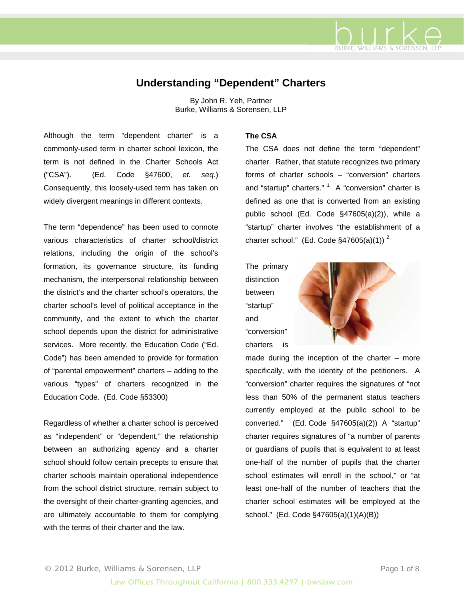

# **Understanding "Dependent" Charters**

By John R. Yeh, Partner Burke, Williams & Sorensen, LLP

Although the term "dependent charter" is a commonly-used term in charter school lexicon, the term is not defined in the Charter Schools Act ("CSA"). (Ed. Code §47600, *et. seq*.) Consequently, this loosely-used term has taken on widely divergent meanings in different contexts.

The term "dependence" has been used to connote various characteristics of charter school/district relations, including the origin of the school's formation, its governance structure, its funding mechanism, the interpersonal relationship between the district's and the charter school's operators, the charter school's level of political acceptance in the community, and the extent to which the charter school depends upon the district for administrative services. More recently, the Education Code ("Ed. Code") has been amended to provide for formation of "parental empowerment" charters – adding to the various "types" of charters recognized in the Education Code. (Ed. Code §53300)

Regardless of whether a charter school is perceived as "independent" or "dependent," the relationship between an authorizing agency and a charter school should follow certain precepts to ensure that charter schools maintain operational independence from the school district structure, remain subject to the oversight of their charter-granting agencies, and are ultimately accountable to them for complying with the terms of their charter and the law

### **The CSA**

The CSA does not define the term "dependent" charter. Rather, that statute recognizes two primary forms of charter schools – "conversion" charters and "startup" charters."  $1$  A "conversion" charter is defined as one that is converted from an existing public school (Ed. Code §47605(a)(2)), while a "startup" charter involves "the establishment of a charter school." (Ed. Code §47605(a)(1))<sup>2</sup>

The primary distinction between "startup" and "conversion" charters is



made during the inception of the charter  $-$  more specifically, with the identity of the petitioners. A "conversion" charter requires the signatures of "not less than 50% of the permanent status teachers currently employed at the public school to be converted." (Ed. Code §47605(a)(2)) A "startup" charter requires signatures of "a number of parents or guardians of pupils that is equivalent to at least one-half of the number of pupils that the charter school estimates will enroll in the school." or "at least one-half of the number of teachers that the charter school estimates will be employed at the school." (Ed. Code §47605(a)(1)(A)(B))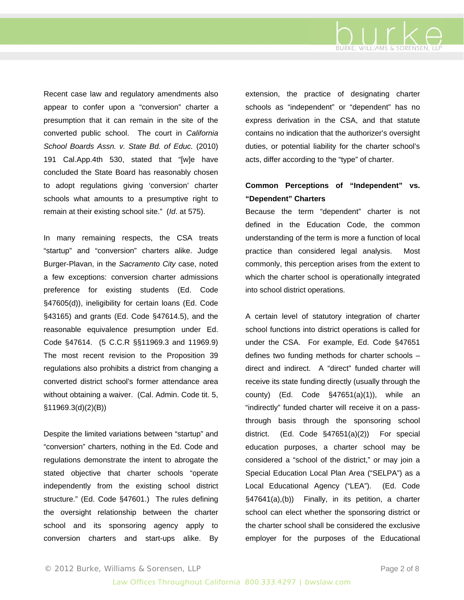

Recent case law and regulatory amendments also appear to confer upon a "conversion" charter a presumption that it can remain in the site of the converted public school. The court in *California School Boards Assn. v. State Bd. of Educ.* (2010) 191 Cal.App.4th 530, stated that "[w]e have concluded the State Board has reasonably chosen to adopt regulations giving 'conversion' charter schools what amounts to a presumptive right to remain at their existing school site." (*Id*. at 575).

In many remaining respects, the CSA treats "startup" and "conversion" charters alike. Judge Burger-Plavan, in the *Sacramento City* case, noted a few exceptions: conversion charter admissions preference for existing students (Ed. Code §47605(d)), ineligibility for certain loans (Ed. Code §43165) and grants (Ed. Code §47614.5), and the reasonable equivalence presumption under Ed. Code §47614. (5 C.C.R §§11969.3 and 11969.9) The most recent revision to the Proposition 39 regulations also prohibits a district from changing a converted district school's former attendance area without obtaining a waiver. (Cal. Admin. Code tit. 5, §11969.3(d)(2)(B))

Despite the limited variations between "startup" and "conversion" charters, nothing in the Ed. Code and regulations demonstrate the intent to abrogate the stated objective that charter schools "operate independently from the existing school district structure." (Ed. Code §47601.) The rules defining the oversight relationship between the charter school and its sponsoring agency apply to conversion charters and start-ups alike. By

extension, the practice of designating charter schools as "independent" or "dependent" has no express derivation in the CSA, and that statute contains no indication that the authorizer's oversight duties, or potential liability for the charter school's acts, differ according to the "type" of charter.

## **Common Perceptions of "Independent" vs. "Dependent" Charters**

Because the term "dependent" charter is not defined in the Education Code, the common understanding of the term is more a function of local practice than considered legal analysis. Most commonly, this perception arises from the extent to which the charter school is operationally integrated into school district operations.

A certain level of statutory integration of charter school functions into district operations is called for under the CSA. For example, Ed. Code §47651 defines two funding methods for charter schools – direct and indirect. A "direct" funded charter will receive its state funding directly (usually through the county) (Ed. Code  $\S$ 47651(a)(1)), while an "indirectly" funded charter will receive it on a passthrough basis through the sponsoring school district. (Ed. Code §47651(a)(2)) For special education purposes, a charter school may be considered a "school of the district," or may join a Special Education Local Plan Area ("SELPA") as a Local Educational Agency ("LEA"). (Ed. Code §47641(a),(b)) Finally, in its petition, a charter school can elect whether the sponsoring district or the charter school shall be considered the exclusive employer for the purposes of the Educational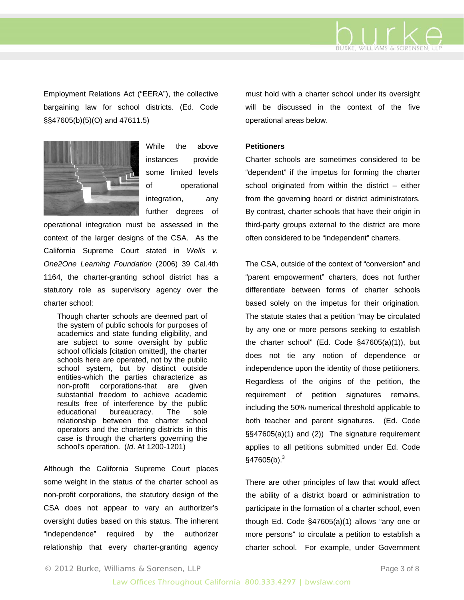

Employment Relations Act ("EERA"), the collective bargaining law for school districts. (Ed. Code §§47605(b)(5)(O) and 47611.5)



While the above instances provide some limited levels of operational integration, any further degrees of

operational integration must be assessed in the context of the larger designs of the CSA. As the California Supreme Court stated in *Wells v. One2One Learning Foundation* (2006) 39 Cal.4th 1164, the charter-granting school district has a statutory role as supervisory agency over the charter school:

Though charter schools are deemed part of the system of public schools for purposes of academics and state funding eligibility, and are subject to some oversight by public school officials [citation omitted], the charter schools here are operated, not by the public school system, but by distinct outside entities-which the parties characterize as non-profit corporations-that are given substantial freedom to achieve academic results free of interference by the public educational bureaucracy. The sole relationship between the charter school operators and the chartering districts in this case is through the charters governing the school's operation. (*Id*. At 1200-1201)

Although the California Supreme Court places some weight in the status of the charter school as non-profit corporations, the statutory design of the CSA does not appear to vary an authorizer's oversight duties based on this status. The inherent "independence" required by the authorizer relationship that every charter-granting agency

must hold with a charter school under its oversight will be discussed in the context of the five operational areas below.

#### **Petitioners**

Charter schools are sometimes considered to be "dependent" if the impetus for forming the charter school originated from within the district  $-$  either from the governing board or district administrators. By contrast, charter schools that have their origin in third-party groups external to the district are more often considered to be "independent" charters.

The CSA, outside of the context of "conversion" and "parent empowerment" charters, does not further differentiate between forms of charter schools based solely on the impetus for their origination. The statute states that a petition "may be circulated by any one or more persons seeking to establish the charter school" (Ed. Code §47605(a)(1)), but does not tie any notion of dependence or independence upon the identity of those petitioners. Regardless of the origins of the petition, the requirement of petition signatures remains, including the 50% numerical threshold applicable to both teacher and parent signatures. (Ed. Code §§47605(a)(1) and (2)) The signature requirement applies to all petitions submitted under Ed. Code  $§47605(b).^{3}$ 

There are other principles of law that would affect the ability of a district board or administration to participate in the formation of a charter school, even though Ed. Code §47605(a)(1) allows "any one or more persons" to circulate a petition to establish a charter school. For example, under Government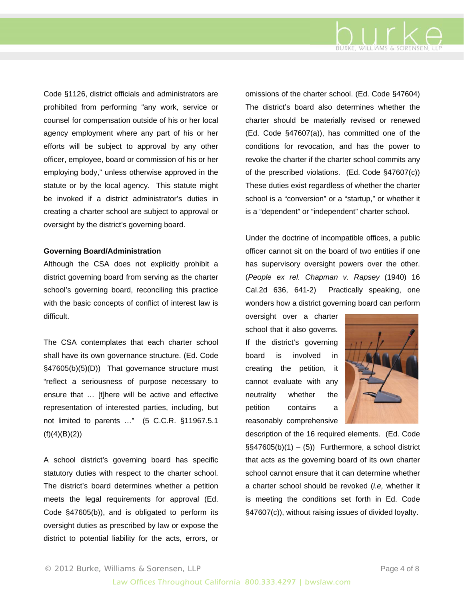

Code §1126, district officials and administrators are prohibited from performing "any work, service or counsel for compensation outside of his or her local agency employment where any part of his or her efforts will be subject to approval by any other officer, employee, board or commission of his or her employing body," unless otherwise approved in the statute or by the local agency. This statute might be invoked if a district administrator's duties in creating a charter school are subject to approval or oversight by the district's governing board.

#### **Governing Board/Administration**

Although the CSA does not explicitly prohibit a district governing board from serving as the charter school's governing board, reconciling this practice with the basic concepts of conflict of interest law is difficult.

The CSA contemplates that each charter school shall have its own governance structure. (Ed. Code §47605(b)(5)(D)) That governance structure must "reflect a seriousness of purpose necessary to ensure that … [t]here will be active and effective representation of interested parties, including, but not limited to parents …" (5 C.C.R. §11967.5.1  $(f)(4)(B)(2)$ 

A school district's governing board has specific statutory duties with respect to the charter school. The district's board determines whether a petition meets the legal requirements for approval (Ed. Code §47605(b)), and is obligated to perform its oversight duties as prescribed by law or expose the district to potential liability for the acts, errors, or

omissions of the charter school. (Ed. Code §47604) The district's board also determines whether the charter should be materially revised or renewed (Ed. Code §47607(a)), has committed one of the conditions for revocation, and has the power to revoke the charter if the charter school commits any of the prescribed violations. (Ed. Code §47607(c)) These duties exist regardless of whether the charter school is a "conversion" or a "startup," or whether it is a "dependent" or "independent" charter school.

Under the doctrine of incompatible offices, a public officer cannot sit on the board of two entities if one has supervisory oversight powers over the other. (*People ex rel. Chapman v. Rapsey* (1940) 16 Cal.2d 636, 641-2) Practically speaking, one wonders how a district governing board can perform

oversight over a charter school that it also governs. If the district's governing board is involved in creating the petition, it cannot evaluate with any neutrality whether the petition contains a reasonably comprehensive



description of the 16 required elements. (Ed. Code  $\S$ §47605(b)(1) – (5)) Furthermore, a school district that acts as the governing board of its own charter school cannot ensure that it can determine whether a charter school should be revoked (*i.e,* whether it is meeting the conditions set forth in Ed. Code §47607(c)), without raising issues of divided loyalty.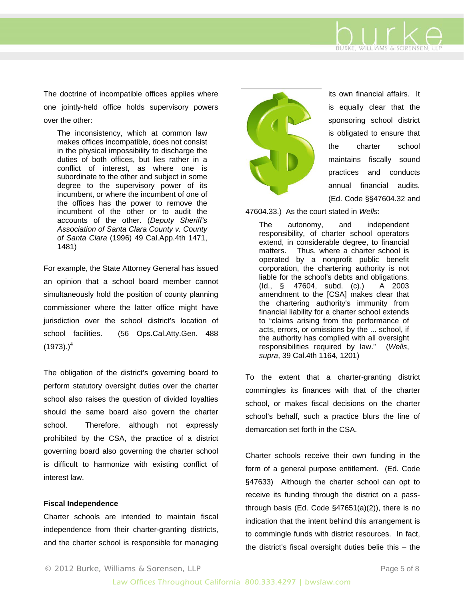The doctrine of incompatible offices applies where one jointly-held office holds supervisory powers over the other:

The inconsistency, which at common law makes offices incompatible, does not consist in the physical impossibility to discharge the duties of both offices, but lies rather in a conflict of interest, as where one is subordinate to the other and subject in some degree to the supervisory power of its incumbent, or where the incumbent of one of the offices has the power to remove the incumbent of the other or to audit the accounts of the other. (*Deputy Sheriff's Association of Santa Clara County v. County of Santa Clara* (1996) 49 Cal.App.4th 1471, 1481)

For example, the State Attorney General has issued an opinion that a school board member cannot simultaneously hold the position of county planning commissioner where the latter office might have jurisdiction over the school district's location of school facilities. (56 Ops.Cal.Atty.Gen. 488  $(1973)$ .)<sup>4</sup>

The obligation of the district's governing board to perform statutory oversight duties over the charter school also raises the question of divided loyalties should the same board also govern the charter school. Therefore, although not expressly prohibited by the CSA, the practice of a district governing board also governing the charter school is difficult to harmonize with existing conflict of interest law.

#### **Fiscal Independence**

Charter schools are intended to maintain fiscal independence from their charter-granting districts, and the charter school is responsible for managing



its own financial affairs. It is equally clear that the sponsoring school district is obligated to ensure that the charter school maintains fiscally sound practices and conducts annual financial audits. (Ed. Code §§47604.32 and

BURKE, WILLIAMS & SORENSEN, LLP

47604.33.) As the court stated in *Wells*:

The autonomy, and independent responsibility, of charter school operators extend, in considerable degree, to financial matters. Thus, where a charter school is operated by a nonprofit public benefit corporation, the chartering authority is not liable for the school's debts and obligations. (Id., § 47604, subd. (c).) A 2003 amendment to the [CSA] makes clear that the chartering authority's immunity from financial liability for a charter school extends to "claims arising from the performance of acts, errors, or omissions by the ... school, if the authority has complied with all oversight responsibilities required by law." (*Wells*, *supra*, 39 Cal.4th 1164, 1201)

To the extent that a charter-granting district commingles its finances with that of the charter school, or makes fiscal decisions on the charter school's behalf, such a practice blurs the line of demarcation set forth in the CSA.

Charter schools receive their own funding in the form of a general purpose entitlement. (Ed. Code §47633) Although the charter school can opt to receive its funding through the district on a passthrough basis (Ed. Code §47651(a)(2)), there is no indication that the intent behind this arrangement is to commingle funds with district resources. In fact, the district's fiscal oversight duties belie this – the

© 2012 Burke, Williams & Sorensen, LLP et al. All page 5 of 8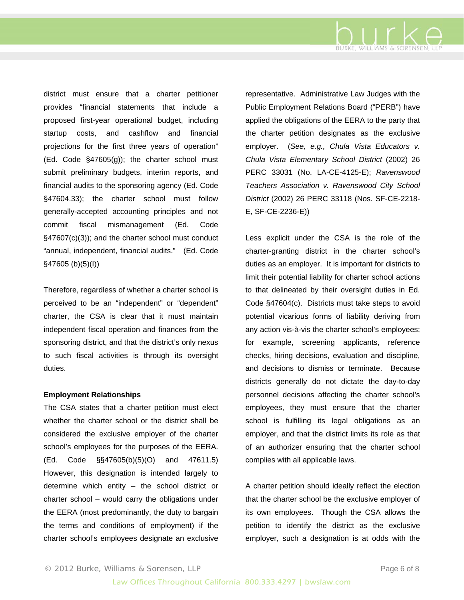

district must ensure that a charter petitioner provides "financial statements that include a proposed first-year operational budget, including startup costs, and cashflow and financial projections for the first three years of operation" (Ed. Code §47605(g)); the charter school must submit preliminary budgets, interim reports, and financial audits to the sponsoring agency (Ed. Code §47604.33); the charter school must follow generally-accepted accounting principles and not commit fiscal mismanagement (Ed. Code §47607(c)(3)); and the charter school must conduct "annual, independent, financial audits." (Ed. Code §47605 (b)(5)(I))

Therefore, regardless of whether a charter school is perceived to be an "independent" or "dependent" charter, the CSA is clear that it must maintain independent fiscal operation and finances from the sponsoring district, and that the district's only nexus to such fiscal activities is through its oversight duties.

#### **Employment Relationships**

The CSA states that a charter petition must elect whether the charter school or the district shall be considered the exclusive employer of the charter school's employees for the purposes of the EERA. (Ed. Code §§47605(b)(5)(O) and 47611.5) However, this designation is intended largely to determine which entity – the school district or charter school – would carry the obligations under the EERA (most predominantly, the duty to bargain the terms and conditions of employment) if the charter school's employees designate an exclusive

representative. Administrative Law Judges with the Public Employment Relations Board ("PERB") have applied the obligations of the EERA to the party that the charter petition designates as the exclusive employer. (*See, e.g., Chula Vista Educators v. Chula Vista Elementary School District* (2002) 26 PERC 33031 (No. LA-CE-4125-E); *Ravenswood Teachers Association v. Ravenswood City School District* (2002) 26 PERC 33118 (Nos. SF-CE-2218- E, SF-CE-2236-E))

Less explicit under the CSA is the role of the charter-granting district in the charter school's duties as an employer. It is important for districts to limit their potential liability for charter school actions to that delineated by their oversight duties in Ed. Code §47604(c). Districts must take steps to avoid potential vicarious forms of liability deriving from any action vis-à-vis the charter school's employees; for example, screening applicants, reference checks, hiring decisions, evaluation and discipline, and decisions to dismiss or terminate. Because districts generally do not dictate the day-to-day personnel decisions affecting the charter school's employees, they must ensure that the charter school is fulfilling its legal obligations as an employer, and that the district limits its role as that of an authorizer ensuring that the charter school complies with all applicable laws.

A charter petition should ideally reflect the election that the charter school be the exclusive employer of its own employees. Though the CSA allows the petition to identify the district as the exclusive employer, such a designation is at odds with the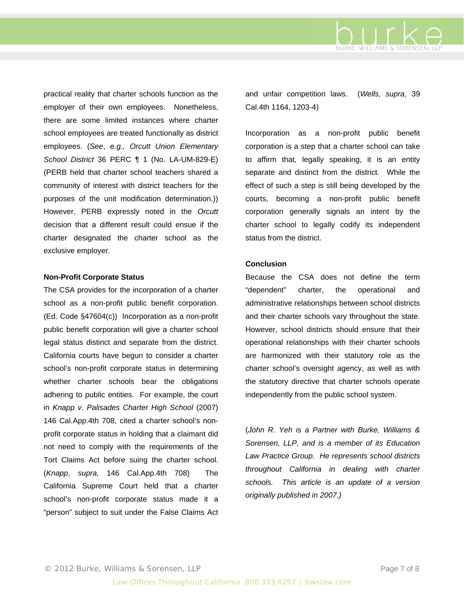

practical reality that charter schools function as the employer of their own employees. Nonetheless, there are some limited instances where charter school employees are treated functionally as district employees. (*See*, *e.g., Orcutt Union Elementary School District* 36 PERC ¶ 1 (No. LA-UM-829-E) (PERB held that charter school teachers shared a community of interest with district teachers for the purposes of the unit modification determination.)) However, PERB expressly noted in the *Orcutt* decision that a different result could ensue if the charter designated the charter school as the exclusive employer.

#### **Non-Profit Corporate Status**

The CSA provides for the incorporation of a charter school as a non-profit public benefit corporation. (Ed. Code §47604(c)) Incorporation as a non-profit public benefit corporation will give a charter school legal status distinct and separate from the district. California courts have begun to consider a charter school's non-profit corporate status in determining whether charter schools bear the obligations adhering to public entities. For example, the court in *Knapp v. Palisades Charter High School* (2007) 146 Cal.App.4th 708, cited a charter school's nonprofit corporate status in holding that a claimant did not need to comply with the requirements of the Tort Claims Act before suing the charter school. (*Knapp*, *supra,* 146 Cal.App.4th 708) The California Supreme Court held that a charter school's non-profit corporate status made it a "person" subject to suit under the False Claims Act

and unfair competition laws. (*Wells, supra,* 39 Cal.4th 1164, 1203-4)

Incorporation as a non-profit public benefit corporation is a step that a charter school can take to affirm that, legally speaking, it is an entity separate and distinct from the district. While the effect of such a step is still being developed by the courts, becoming a non-profit public benefit corporation generally signals an intent by the charter school to legally codify its independent status from the district.

#### **Conclusion**

Because the CSA does not define the term "dependent" charter, the operational and administrative relationships between school districts and their charter schools vary throughout the state. However, school districts should ensure that their operational relationships with their charter schools are harmonized with their statutory role as the charter school's oversight agency, as well as with the statutory directive that charter schools operate independently from the public school system.

(*John R. Yeh is a Partner with Burke, Williams & Sorensen, LLP, and is a member of its Education Law Practice Group. He represents school districts throughout California in dealing with charter schools. This article is an update of a version originally published in 2007.)*